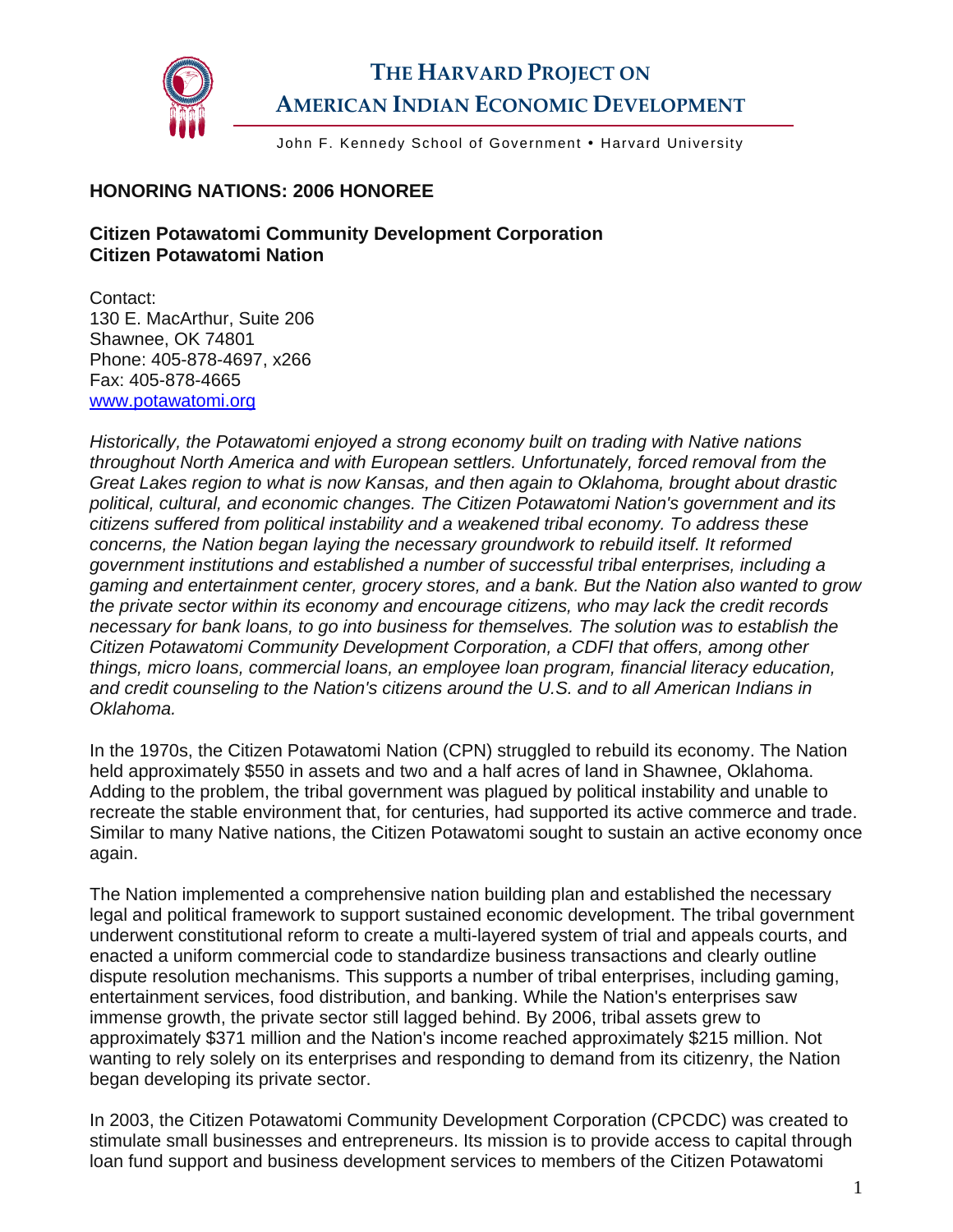

## **THE HARVARD PROJECT ON AMERICAN INDIAN ECONOMIC DEVELOPMENT**

John F. Kennedy School of Government • Harvard University

## **HONORING NATIONS: 2006 HONOREE**

## **Citizen Potawatomi Community Development Corporation Citizen Potawatomi Nation**

Contact: 130 E. MacArthur, Suite 206 Shawnee, OK 74801 Phone: 405-878-4697, x266 Fax: 405-878-4665 [www.potawatomi.org](http://www.potawatomi.org/)

*Historically, the Potawatomi enjoyed a strong economy built on trading with Native nations throughout North America and with European settlers. Unfortunately, forced removal from the Great Lakes region to what is now Kansas, and then again to Oklahoma, brought about drastic political, cultural, and economic changes. The Citizen Potawatomi Nation's government and its citizens suffered from political instability and a weakened tribal economy. To address these concerns, the Nation began laying the necessary groundwork to rebuild itself. It reformed government institutions and established a number of successful tribal enterprises, including a gaming and entertainment center, grocery stores, and a bank. But the Nation also wanted to grow the private sector within its economy and encourage citizens, who may lack the credit records necessary for bank loans, to go into business for themselves. The solution was to establish the Citizen Potawatomi Community Development Corporation, a CDFI that offers, among other things, micro loans, commercial loans, an employee loan program, financial literacy education, and credit counseling to the Nation's citizens around the U.S. and to all American Indians in Oklahoma.* 

In the 1970s, the Citizen Potawatomi Nation (CPN) struggled to rebuild its economy. The Nation held approximately \$550 in assets and two and a half acres of land in Shawnee, Oklahoma. Adding to the problem, the tribal government was plagued by political instability and unable to recreate the stable environment that, for centuries, had supported its active commerce and trade. Similar to many Native nations, the Citizen Potawatomi sought to sustain an active economy once again.

The Nation implemented a comprehensive nation building plan and established the necessary legal and political framework to support sustained economic development. The tribal government underwent constitutional reform to create a multi-layered system of trial and appeals courts, and enacted a uniform commercial code to standardize business transactions and clearly outline dispute resolution mechanisms. This supports a number of tribal enterprises, including gaming, entertainment services, food distribution, and banking. While the Nation's enterprises saw immense growth, the private sector still lagged behind. By 2006, tribal assets grew to approximately \$371 million and the Nation's income reached approximately \$215 million. Not wanting to rely solely on its enterprises and responding to demand from its citizenry, the Nation began developing its private sector.

In 2003, the Citizen Potawatomi Community Development Corporation (CPCDC) was created to stimulate small businesses and entrepreneurs. Its mission is to provide access to capital through loan fund support and business development services to members of the Citizen Potawatomi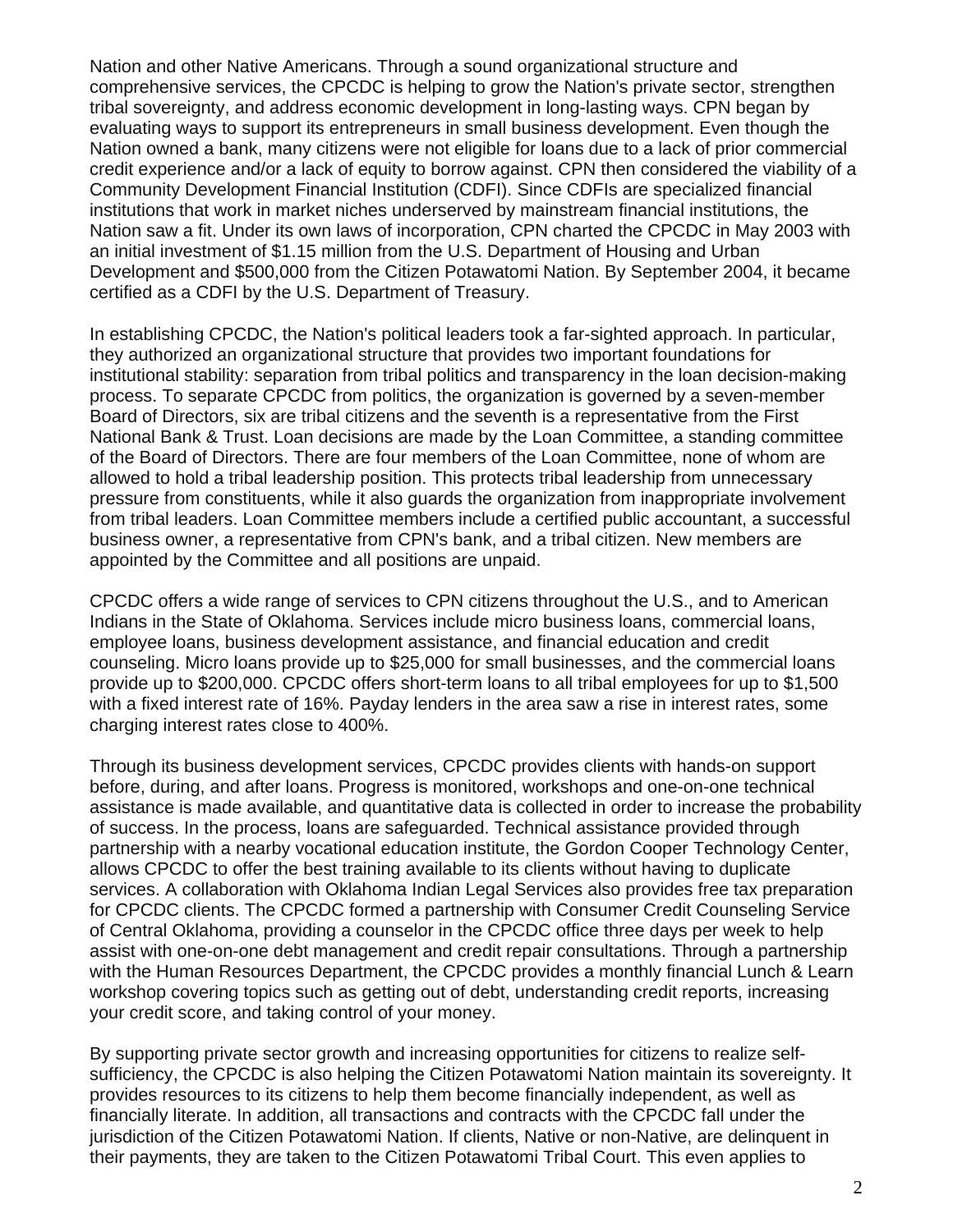Nation and other Native Americans. Through a sound organizational structure and comprehensive services, the CPCDC is helping to grow the Nation's private sector, strengthen tribal sovereignty, and address economic development in long-lasting ways. CPN began by evaluating ways to support its entrepreneurs in small business development. Even though the Nation owned a bank, many citizens were not eligible for loans due to a lack of prior commercial credit experience and/or a lack of equity to borrow against. CPN then considered the viability of a Community Development Financial Institution (CDFI). Since CDFIs are specialized financial institutions that work in market niches underserved by mainstream financial institutions, the Nation saw a fit. Under its own laws of incorporation, CPN charted the CPCDC in May 2003 with an initial investment of \$1.15 million from the U.S. Department of Housing and Urban Development and \$500,000 from the Citizen Potawatomi Nation. By September 2004, it became certified as a CDFI by the U.S. Department of Treasury.

In establishing CPCDC, the Nation's political leaders took a far-sighted approach. In particular, they authorized an organizational structure that provides two important foundations for institutional stability: separation from tribal politics and transparency in the loan decision-making process. To separate CPCDC from politics, the organization is governed by a seven-member Board of Directors, six are tribal citizens and the seventh is a representative from the First National Bank & Trust. Loan decisions are made by the Loan Committee, a standing committee of the Board of Directors. There are four members of the Loan Committee, none of whom are allowed to hold a tribal leadership position. This protects tribal leadership from unnecessary pressure from constituents, while it also guards the organization from inappropriate involvement from tribal leaders. Loan Committee members include a certified public accountant, a successful business owner, a representative from CPN's bank, and a tribal citizen. New members are appointed by the Committee and all positions are unpaid.

CPCDC offers a wide range of services to CPN citizens throughout the U.S., and to American Indians in the State of Oklahoma. Services include micro business loans, commercial loans, employee loans, business development assistance, and financial education and credit counseling. Micro loans provide up to \$25,000 for small businesses, and the commercial loans provide up to \$200,000. CPCDC offers short-term loans to all tribal employees for up to \$1,500 with a fixed interest rate of 16%. Payday lenders in the area saw a rise in interest rates, some charging interest rates close to 400%.

Through its business development services, CPCDC provides clients with hands-on support before, during, and after loans. Progress is monitored, workshops and one-on-one technical assistance is made available, and quantitative data is collected in order to increase the probability of success. In the process, loans are safeguarded. Technical assistance provided through partnership with a nearby vocational education institute, the Gordon Cooper Technology Center, allows CPCDC to offer the best training available to its clients without having to duplicate services. A collaboration with Oklahoma Indian Legal Services also provides free tax preparation for CPCDC clients. The CPCDC formed a partnership with Consumer Credit Counseling Service of Central Oklahoma, providing a counselor in the CPCDC office three days per week to help assist with one-on-one debt management and credit repair consultations. Through a partnership with the Human Resources Department, the CPCDC provides a monthly financial Lunch & Learn workshop covering topics such as getting out of debt, understanding credit reports, increasing your credit score, and taking control of your money.

By supporting private sector growth and increasing opportunities for citizens to realize selfsufficiency, the CPCDC is also helping the Citizen Potawatomi Nation maintain its sovereignty. It provides resources to its citizens to help them become financially independent, as well as financially literate. In addition, all transactions and contracts with the CPCDC fall under the jurisdiction of the Citizen Potawatomi Nation. If clients, Native or non-Native, are delinquent in their payments, they are taken to the Citizen Potawatomi Tribal Court. This even applies to